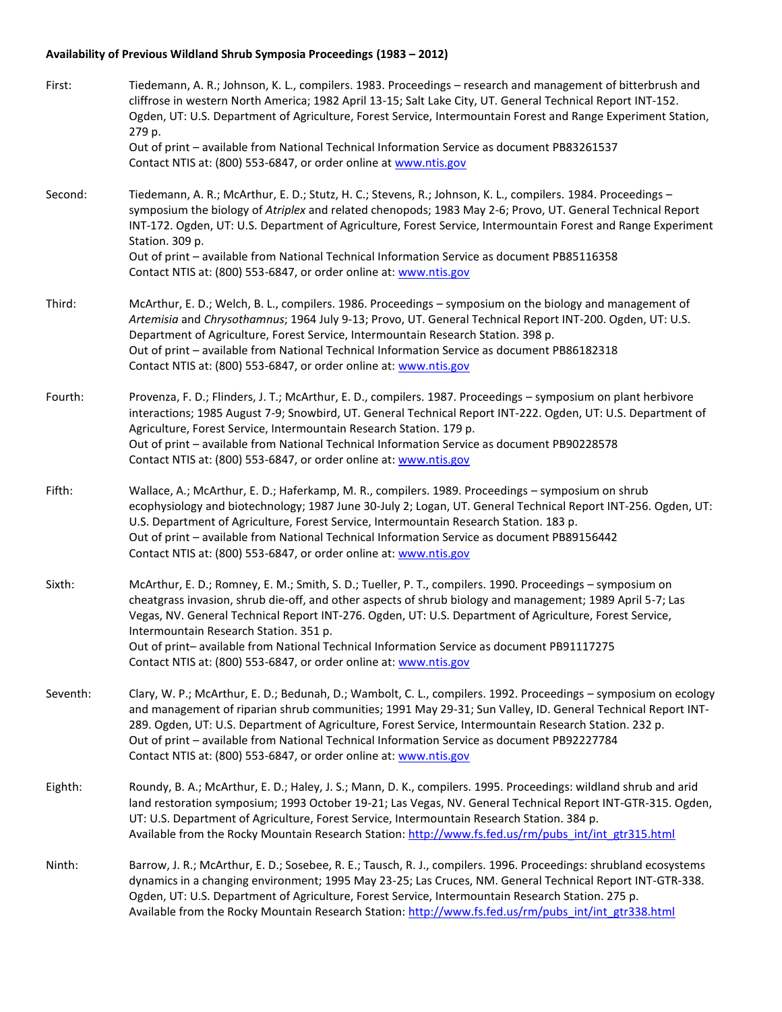## **Availability of Previous Wildland Shrub Symposia Proceedings (1983 – 2012)**

| First:   | Tiedemann, A. R.; Johnson, K. L., compilers. 1983. Proceedings - research and management of bitterbrush and<br>cliffrose in western North America; 1982 April 13-15; Salt Lake City, UT. General Technical Report INT-152.<br>Ogden, UT: U.S. Department of Agriculture, Forest Service, Intermountain Forest and Range Experiment Station,<br>279 p.                                                                                                                                                                                           |
|----------|-------------------------------------------------------------------------------------------------------------------------------------------------------------------------------------------------------------------------------------------------------------------------------------------------------------------------------------------------------------------------------------------------------------------------------------------------------------------------------------------------------------------------------------------------|
|          | Out of print - available from National Technical Information Service as document PB83261537<br>Contact NTIS at: (800) 553-6847, or order online at www.ntis.gov                                                                                                                                                                                                                                                                                                                                                                                 |
| Second:  | Tiedemann, A. R.; McArthur, E. D.; Stutz, H. C.; Stevens, R.; Johnson, K. L., compilers. 1984. Proceedings -<br>symposium the biology of Atriplex and related chenopods; 1983 May 2-6; Provo, UT. General Technical Report<br>INT-172. Ogden, UT: U.S. Department of Agriculture, Forest Service, Intermountain Forest and Range Experiment<br>Station. 309 p.<br>Out of print - available from National Technical Information Service as document PB85116358                                                                                   |
|          | Contact NTIS at: (800) 553-6847, or order online at: www.ntis.gov                                                                                                                                                                                                                                                                                                                                                                                                                                                                               |
| Third:   | McArthur, E. D.; Welch, B. L., compilers. 1986. Proceedings - symposium on the biology and management of<br>Artemisia and Chrysothamnus; 1964 July 9-13; Provo, UT. General Technical Report INT-200. Ogden, UT: U.S.<br>Department of Agriculture, Forest Service, Intermountain Research Station. 398 p.<br>Out of print - available from National Technical Information Service as document PB86182318<br>Contact NTIS at: (800) 553-6847, or order online at: www.ntis.gov                                                                  |
| Fourth:  | Provenza, F. D.; Flinders, J. T.; McArthur, E. D., compilers. 1987. Proceedings - symposium on plant herbivore<br>interactions; 1985 August 7-9; Snowbird, UT. General Technical Report INT-222. Ogden, UT: U.S. Department of<br>Agriculture, Forest Service, Intermountain Research Station. 179 p.<br>Out of print - available from National Technical Information Service as document PB90228578<br>Contact NTIS at: (800) 553-6847, or order online at: www.ntis.gov                                                                       |
| Fifth:   | Wallace, A.; McArthur, E. D.; Haferkamp, M. R., compilers. 1989. Proceedings - symposium on shrub<br>ecophysiology and biotechnology; 1987 June 30-July 2; Logan, UT. General Technical Report INT-256. Ogden, UT:<br>U.S. Department of Agriculture, Forest Service, Intermountain Research Station. 183 p.<br>Out of print - available from National Technical Information Service as document PB89156442<br>Contact NTIS at: (800) 553-6847, or order online at: www.ntis.gov                                                                |
| Sixth:   | McArthur, E. D.; Romney, E. M.; Smith, S. D.; Tueller, P. T., compilers. 1990. Proceedings - symposium on<br>cheatgrass invasion, shrub die-off, and other aspects of shrub biology and management; 1989 April 5-7; Las<br>Vegas, NV. General Technical Report INT-276. Ogden, UT: U.S. Department of Agriculture, Forest Service,<br>Intermountain Research Station. 351 p.<br>Out of print- available from National Technical Information Service as document PB91117275<br>Contact NTIS at: (800) 553-6847, or order online at: www.ntis.gov |
| Seventh: | Clary, W. P.; McArthur, E. D.; Bedunah, D.; Wambolt, C. L., compilers. 1992. Proceedings - symposium on ecology<br>and management of riparian shrub communities; 1991 May 29-31; Sun Valley, ID. General Technical Report INT-<br>289. Ogden, UT: U.S. Department of Agriculture, Forest Service, Intermountain Research Station. 232 p.<br>Out of print - available from National Technical Information Service as document PB92227784<br>Contact NTIS at: (800) 553-6847, or order online at: www.ntis.gov                                    |
| Eighth:  | Roundy, B. A.; McArthur, E. D.; Haley, J. S.; Mann, D. K., compilers. 1995. Proceedings: wildland shrub and arid<br>land restoration symposium; 1993 October 19-21; Las Vegas, NV. General Technical Report INT-GTR-315. Ogden,<br>UT: U.S. Department of Agriculture, Forest Service, Intermountain Research Station. 384 p.<br>Available from the Rocky Mountain Research Station: http://www.fs.fed.us/rm/pubs_int/int_gtr315.html                                                                                                           |
| Ninth:   | Barrow, J. R.; McArthur, E. D.; Sosebee, R. E.; Tausch, R. J., compilers. 1996. Proceedings: shrubland ecosystems<br>dynamics in a changing environment; 1995 May 23-25; Las Cruces, NM. General Technical Report INT-GTR-338.<br>Ogden, UT: U.S. Department of Agriculture, Forest Service, Intermountain Research Station. 275 p.<br>Available from the Rocky Mountain Research Station: http://www.fs.fed.us/rm/pubs int/int gtr338.html                                                                                                     |